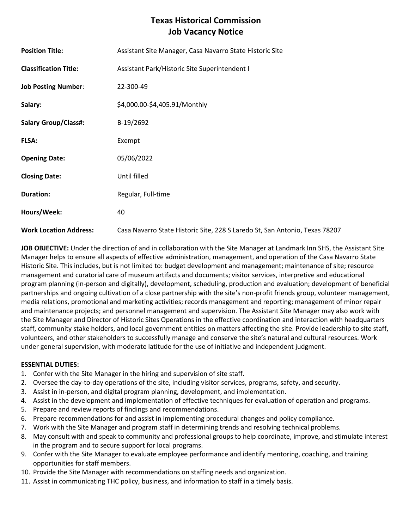# **Texas Historical Commission Job Vacancy Notice**

| <b>Position Title:</b>        | Assistant Site Manager, Casa Navarro State Historic Site                    |
|-------------------------------|-----------------------------------------------------------------------------|
| <b>Classification Title:</b>  | Assistant Park/Historic Site Superintendent I                               |
| <b>Job Posting Number:</b>    | 22-300-49                                                                   |
| Salary:                       | \$4,000.00-\$4,405.91/Monthly                                               |
| Salary Group/Class#:          | B-19/2692                                                                   |
| FLSA:                         | Exempt                                                                      |
| <b>Opening Date:</b>          | 05/06/2022                                                                  |
| <b>Closing Date:</b>          | Until filled                                                                |
| <b>Duration:</b>              | Regular, Full-time                                                          |
| Hours/Week:                   | 40                                                                          |
| <b>Work Location Address:</b> | Casa Navarro State Historic Site, 228 S Laredo St, San Antonio, Texas 78207 |

**JOB OBJECTIVE:** Under the direction of and in collaboration with the Site Manager at Landmark Inn SHS, the Assistant Site Manager helps to ensure all aspects of effective administration, management, and operation of the Casa Navarro State Historic Site. This includes, but is not limited to: budget development and management; maintenance of site; resource management and curatorial care of museum artifacts and documents; visitor services, interpretive and educational program planning (in-person and digitally), development, scheduling, production and evaluation; development of beneficial partnerships and ongoing cultivation of a close partnership with the site's non-profit friends group, volunteer management, media relations, promotional and marketing activities; records management and reporting; management of minor repair and maintenance projects; and personnel management and supervision. The Assistant Site Manager may also work with the Site Manager and Director of Historic Sites Operations in the effective coordination and interaction with headquarters staff, community stake holders, and local government entities on matters affecting the site. Provide leadership to site staff, volunteers, and other stakeholders to successfully manage and conserve the site's natural and cultural resources. Work under general supervision, with moderate latitude for the use of initiative and independent judgment.

### **ESSENTIAL DUTIES:**

- 1. Confer with the Site Manager in the hiring and supervision of site staff.
- 2. Oversee the day-to-day operations of the site, including visitor services, programs, safety, and security.
- 3. Assist in in-person, and digital program planning, development, and implementation.
- 4. Assist in the development and implementation of effective techniques for evaluation of operation and programs.
- 5. Prepare and review reports of findings and recommendations.
- 6. Prepare recommendations for and assist in implementing procedural changes and policy compliance.
- 7. Work with the Site Manager and program staff in determining trends and resolving technical problems.
- 8. May consult with and speak to community and professional groups to help coordinate, improve, and stimulate interest in the program and to secure support for local programs.
- 9. Confer with the Site Manager to evaluate employee performance and identify mentoring, coaching, and training opportunities for staff members.
- 10. Provide the Site Manager with recommendations on staffing needs and organization.
- 11. Assist in communicating THC policy, business, and information to staff in a timely basis.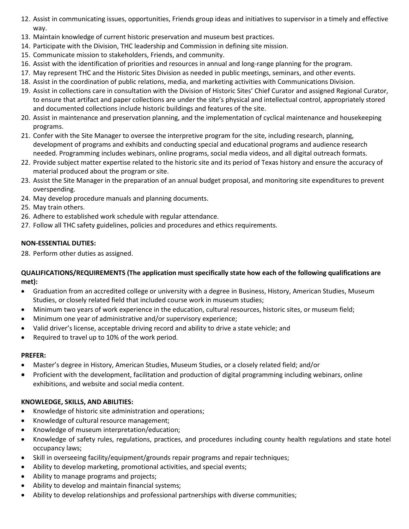- 12. Assist in communicating issues, opportunities, Friends group ideas and initiatives to supervisor in a timely and effective way.
- 13. Maintain knowledge of current historic preservation and museum best practices.
- 14. Participate with the Division, THC leadership and Commission in defining site mission.
- 15. Communicate mission to stakeholders, Friends, and community.
- 16. Assist with the identification of priorities and resources in annual and long-range planning for the program.
- 17. May represent THC and the Historic Sites Division as needed in public meetings, seminars, and other events.
- 18. Assist in the coordination of public relations, media, and marketing activities with Communications Division.
- 19. Assist in collections care in consultation with the Division of Historic Sites' Chief Curator and assigned Regional Curator, to ensure that artifact and paper collections are under the site's physical and intellectual control, appropriately stored and documented collections include historic buildings and features of the site.
- 20. Assist in maintenance and preservation planning, and the implementation of cyclical maintenance and housekeeping programs.
- 21. Confer with the Site Manager to oversee the interpretive program for the site, including research, planning, development of programs and exhibits and conducting special and educational programs and audience research needed. Programming includes webinars, online programs, social media videos, and all digital outreach formats.
- 22. Provide subject matter expertise related to the historic site and its period of Texas history and ensure the accuracy of material produced about the program or site.
- 23. Assist the Site Manager in the preparation of an annual budget proposal, and monitoring site expenditures to prevent overspending.
- 24. May develop procedure manuals and planning documents.
- 25. May train others.
- 26. Adhere to established work schedule with regular attendance.
- 27. Follow all THC safety guidelines, policies and procedures and ethics requirements.

## **NON-ESSENTIAL DUTIES:**

28. Perform other duties as assigned.

## **QUALIFICATIONS/REQUIREMENTS (The application must specifically state how each of the following qualifications are met):**

- Graduation from an accredited college or university with a degree in Business, History, American Studies, Museum Studies, or closely related field that included course work in museum studies;
- Minimum two years of work experience in the education, cultural resources, historic sites, or museum field;
- Minimum one year of administrative and/or supervisory experience;
- Valid driver's license, acceptable driving record and ability to drive a state vehicle; and
- Required to travel up to 10% of the work period.

### **PREFER:**

- Master's degree in History, American Studies, Museum Studies, or a closely related field; and/or
- Proficient with the development, facilitation and production of digital programming including webinars, online exhibitions, and website and social media content.

# **KNOWLEDGE, SKILLS, AND ABILITIES:**

- Knowledge of historic site administration and operations;
- Knowledge of cultural resource management;
- Knowledge of museum interpretation/education;
- Knowledge of safety rules, regulations, practices, and procedures including county health regulations and state hotel occupancy laws;
- Skill in overseeing facility/equipment/grounds repair programs and repair techniques;
- Ability to develop marketing, promotional activities, and special events;
- Ability to manage programs and projects;
- Ability to develop and maintain financial systems;
- Ability to develop relationships and professional partnerships with diverse communities;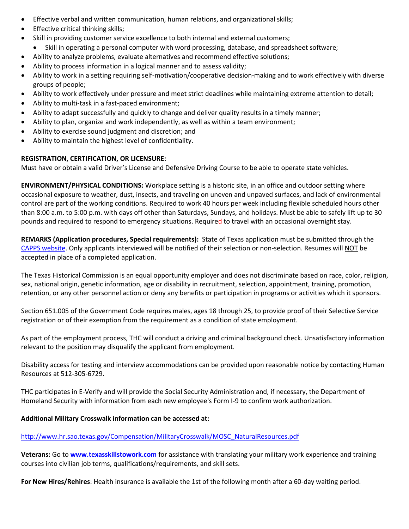- Effective verbal and written communication, human relations, and organizational skills;
- Effective critical thinking skills;
- Skill in providing customer service excellence to both internal and external customers;
	- Skill in operating a personal computer with word processing, database, and spreadsheet software;
- Ability to analyze problems, evaluate alternatives and recommend effective solutions;
- Ability to process information in a logical manner and to assess validity;
- Ability to work in a setting requiring self-motivation/cooperative decision-making and to work effectively with diverse groups of people;
- Ability to work effectively under pressure and meet strict deadlines while maintaining extreme attention to detail;
- Ability to multi-task in a fast-paced environment;
- Ability to adapt successfully and quickly to change and deliver quality results in a timely manner;
- Ability to plan, organize and work independently, as well as within a team environment;
- Ability to exercise sound judgment and discretion; and
- Ability to maintain the highest level of confidentiality.

## **REGISTRATION, CERTIFICATION, OR LICENSURE:**

Must have or obtain a valid Driver's License and Defensive Driving Course to be able to operate state vehicles.

**ENVIRONMENT/PHYSICAL CONDITIONS:** Workplace setting is a historic site, in an office and outdoor setting where occasional exposure to weather, dust, insects, and traveling on uneven and unpaved surfaces, and lack of environmental control are part of the working conditions. Required to work 40 hours per week including flexible scheduled hours other than 8:00 a.m. to 5:00 p.m. with days off other than Saturdays, Sundays, and holidays. Must be able to safely lift up to 30 pounds and required to respond to emergency situations. Required to travel with an occasional overnight stay.

**REMARKS (Application procedures, Special requirements):** State of Texas application must be submitted through the [CAPPS website.](https://capps.taleo.net/careersection/808/jobsearch.ftl?lang=en) Only applicants interviewed will be notified of their selection or non-selection. Resumes will NOT be accepted in place of a completed application.

The Texas Historical Commission is an equal opportunity employer and does not discriminate based on race, color, religion, sex, national origin, genetic information, age or disability in recruitment, selection, appointment, training, promotion, retention, or any other personnel action or deny any benefits or participation in programs or activities which it sponsors.

Section 651.005 of the Government Code requires males, ages 18 through 25, to provide proof of their Selective Service registration or of their exemption from the requirement as a condition of state employment.

As part of the employment process, THC will conduct a driving and criminal background check. Unsatisfactory information relevant to the position may disqualify the applicant from employment.

Disability access for testing and interview accommodations can be provided upon reasonable notice by contacting Human Resources at 512-305-6729.

THC participates in E-Verify and will provide the Social Security Administration and, if necessary, the Department of Homeland Security with information from each new employee's Form I-9 to confirm work authorization.

# **Additional Military Crosswalk information can be accessed at:**

### [http://www.hr.sao.texas.gov/Compensation/MilitaryCrosswalk/MOSC\\_NaturalResources.pdf](http://www.hr.sao.texas.gov/Compensation/MilitaryCrosswalk/MOSC_NaturalResources.pdf)

**Veterans:** Go to **[www.texasskillstowork.com](http://www.texasskillstowork.com/)** for assistance with translating your military work experience and training courses into civilian job terms, qualifications/requirements, and skill sets.

**For New Hires/Rehires**: Health insurance is available the 1st of the following month after a 60-day waiting period.